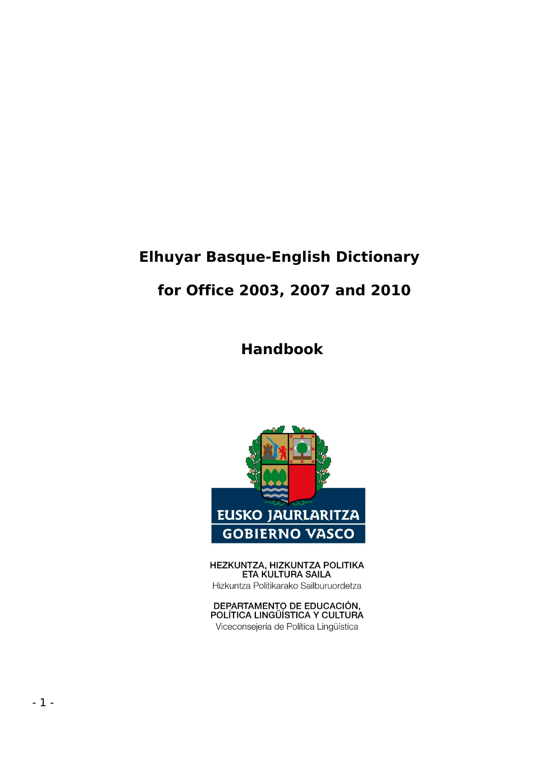# **Elhuyar Basque-English Dictionary for Office 2003, 2007 and 2010**

# **Handbook**



HEZKUNTZA, HIZKUNTZA POLITIKA ETA KULTURA SAILA Hizkuntza Politikarako Sailburuordetza

DEPARTAMENTO DE EDUCACIÓN,<br>POLÍTICA LINGÜÍSTICA Y CULTURA Viceconsejería de Política Lingüística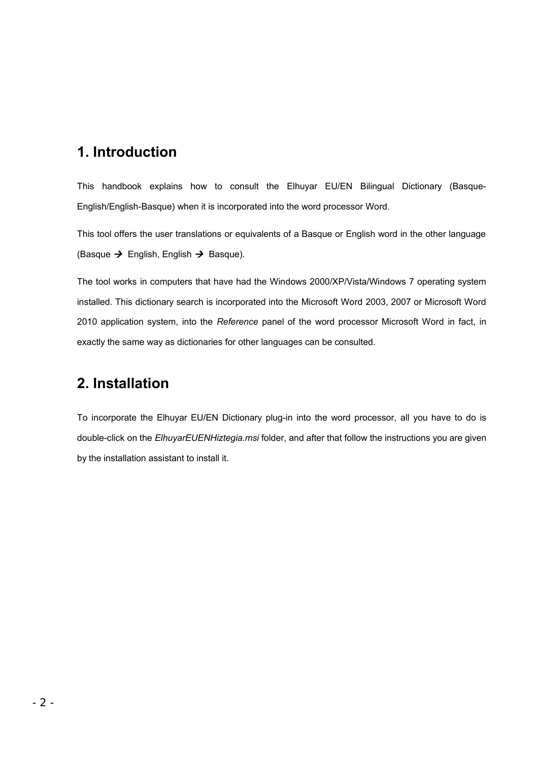#### **1. Introduction**

This handbook explains how to consult the Elhuyar EU/EN Bilingual Dictionary (Basque-English/English-Basque) when it is incorporated into the word processor Word.

This tool offers the user translations or equivalents of a Basque or English word in the other language (Basque  $\rightarrow$  English, English  $\rightarrow$  Basque).

The tool works in computers that have had the Windows 2000/XP/Vista/Windows 7 operating system installed. This dictionary search is incorporated into the Microsoft Word 2003, 2007 or Microsoft Word 2010 application system, into the *Reference* panel of the word processor Microsoft Word in fact, in exactly the same way as dictionaries for other languages can be consulted.

## **2. Installation**

To incorporate the Elhuyar EU/EN Dictionary plug-in into the word processor, all you have to do is double-click on the *ElhuyarEUENHiztegia.msi* folder, and after that follow the instructions you are given by the installation assistant to install it.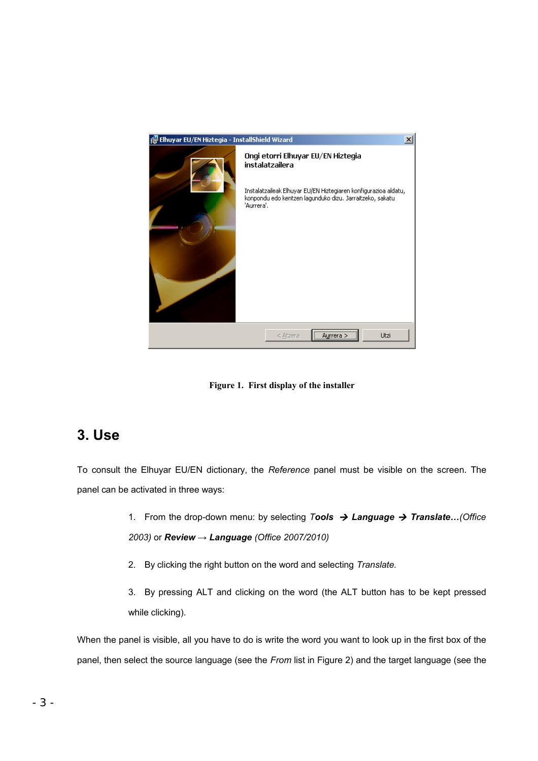

**Figure 1. First display of the installer**

## **3. Use**

To consult the Elhuyar EU/EN dictionary, the *Reference* panel must be visible on the screen. The panel can be activated in three ways:

- 1. From the drop-down menu: by selecting *Tools Language Translate…(Office 2003)* or *Review → Language (Office 2007/2010)*
- 2. By clicking the right button on the word and selecting *Translate.*

3. By pressing ALT and clicking on the word (the ALT button has to be kept pressed while clicking).

When the panel is visible, all you have to do is write the word you want to look up in the first box of the panel, then select the source language (see the *From* list in Figure 2) and the target language (see the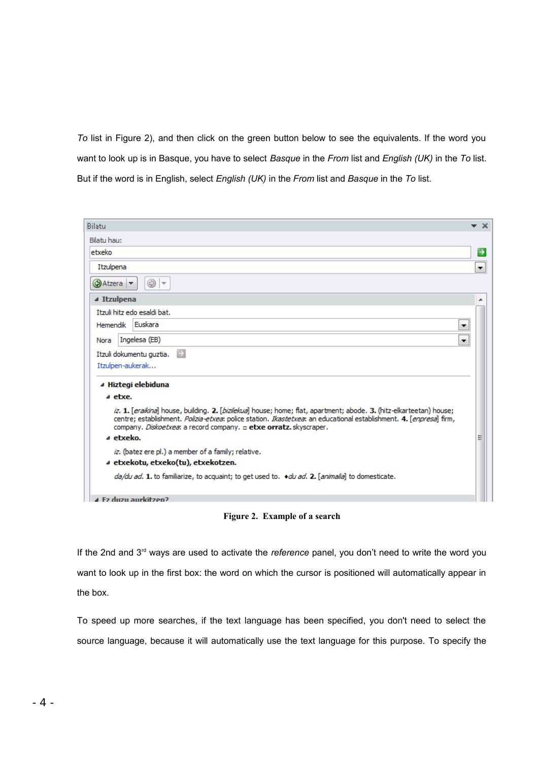*To* list in Figure 2), and then click on the green button below to see the equivalents. If the word you want to look up is in Basque, you have to select *Basque* in the *From* list and *English (UK)* in the *To* list. But if the word is in English, select *English (UK)* in the *From* list and *Basque* in the *To* list.

| Bilatu<br>$\star \times$                                                                                                                                                                                                                                                                                                                |
|-----------------------------------------------------------------------------------------------------------------------------------------------------------------------------------------------------------------------------------------------------------------------------------------------------------------------------------------|
| Bilatu hau:                                                                                                                                                                                                                                                                                                                             |
| etxeko<br>$\rightarrow$                                                                                                                                                                                                                                                                                                                 |
| Itzulpena<br>▼                                                                                                                                                                                                                                                                                                                          |
| ⊛<br>Atzera →<br>$  \nabla$                                                                                                                                                                                                                                                                                                             |
| ⊿ Itzulpena                                                                                                                                                                                                                                                                                                                             |
| Itzuli hitz edo esaldi bat.                                                                                                                                                                                                                                                                                                             |
| Euskara<br>Hemendik<br>▼                                                                                                                                                                                                                                                                                                                |
| Ingelesa (EB)<br>Nora<br>$\blacktriangledown$                                                                                                                                                                                                                                                                                           |
| $\rightarrow$<br>Itzuli dokumentu guztia.                                                                                                                                                                                                                                                                                               |
| Itzulpen-aukerak                                                                                                                                                                                                                                                                                                                        |
| ⊿ Hiztegi elebiduna                                                                                                                                                                                                                                                                                                                     |
| a etxe.                                                                                                                                                                                                                                                                                                                                 |
| iz. 1. [eraikina] house, building. 2. [bizilekua] house; home; flat, apartment; abode. 3. (hitz-elkarteetan) house;<br>centre; establishment. Polizia-etxea: police station. Ikastetxea: an educational establishment. 4. [enpresa] firm,<br>company. Diskoetxea: a record company. <b>a etxe orratz.</b> skyscraper.<br>a etxeko.<br>Ξ |
| iz. (batez ere pl.) a member of a family; relative.                                                                                                                                                                                                                                                                                     |
| ⊿ etxekotu, etxeko(tu), etxekotzen.                                                                                                                                                                                                                                                                                                     |
| da/du ad. 1. to familiarize, to acquaint; to get used to. <i>+du ad.</i> 2. [animalia] to domesticate.                                                                                                                                                                                                                                  |
| 4 Ez duzu aurkitzen?                                                                                                                                                                                                                                                                                                                    |

**Figure 2. Example of a search**

If the 2nd and 3rd ways are used to activate the *reference* panel, you don't need to write the word you want to look up in the first box: the word on which the cursor is positioned will automatically appear in the box.

To speed up more searches, if the text language has been specified, you don't need to select the source language, because it will automatically use the text language for this purpose. To specify the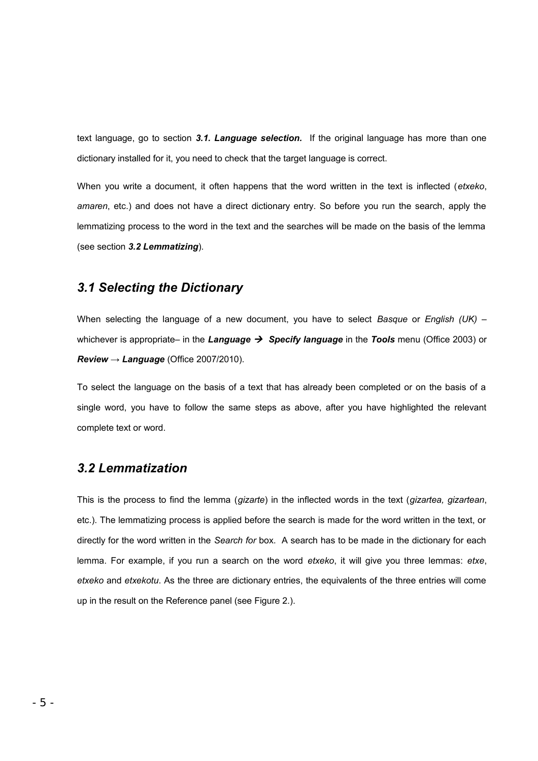text language, go to section *3.1. Language selection.* If the original language has more than one dictionary installed for it, you need to check that the target language is correct.

When you write a document, it often happens that the word written in the text is inflected (*etxeko*, *amaren*, etc.) and does not have a direct dictionary entry. So before you run the search, apply the lemmatizing process to the word in the text and the searches will be made on the basis of the lemma (see section *3.2 Lemmatizing*).

#### *3.1 Selecting the Dictionary*

When selecting the language of a new document, you have to select *Basque* or *English (UK)* – whichever is appropriate– in the *Language Specify language* in the *Tools* menu (Office 2003) or *Review → Language* (Office 2007/2010).

To select the language on the basis of a text that has already been completed or on the basis of a single word, you have to follow the same steps as above, after you have highlighted the relevant complete text or word.

#### *3.2 Lemmatization*

This is the process to find the lemma (*gizarte*) in the inflected words in the text (*gizartea, gizartean*, etc.). The lemmatizing process is applied before the search is made for the word written in the text, or directly for the word written in the *Search for* box. A search has to be made in the dictionary for each lemma. For example, if you run a search on the word *etxeko*, it will give you three lemmas: *etxe*, *etxeko* and *etxekotu*. As the three are dictionary entries, the equivalents of the three entries will come up in the result on the Reference panel (see Figure 2.).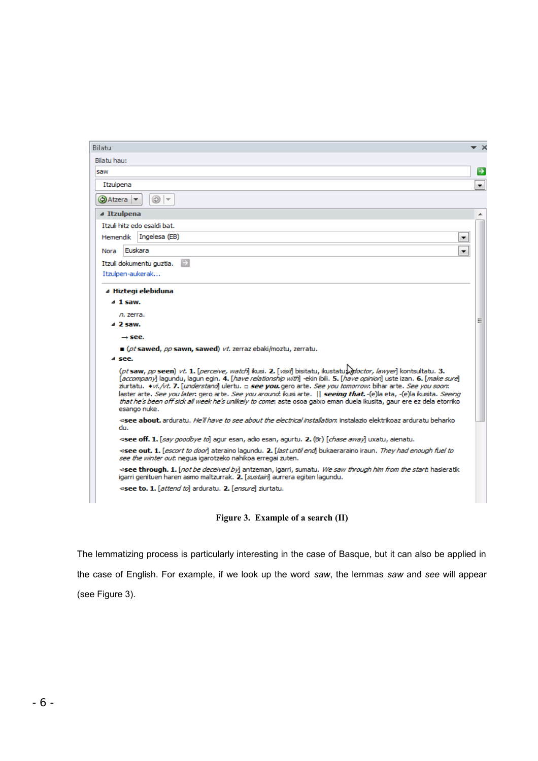| Bilatu                                                                                                                                                                                                                                                                                                                                                                                                                                                                                                                                                                                                                           | $\times$      |  |  |  |
|----------------------------------------------------------------------------------------------------------------------------------------------------------------------------------------------------------------------------------------------------------------------------------------------------------------------------------------------------------------------------------------------------------------------------------------------------------------------------------------------------------------------------------------------------------------------------------------------------------------------------------|---------------|--|--|--|
| Bilatu hau:                                                                                                                                                                                                                                                                                                                                                                                                                                                                                                                                                                                                                      |               |  |  |  |
| saw                                                                                                                                                                                                                                                                                                                                                                                                                                                                                                                                                                                                                              | $\rightarrow$ |  |  |  |
| Itzulpena                                                                                                                                                                                                                                                                                                                                                                                                                                                                                                                                                                                                                        | ۰             |  |  |  |
| $\circledcirc$ -<br>Atzera ▼                                                                                                                                                                                                                                                                                                                                                                                                                                                                                                                                                                                                     |               |  |  |  |
| ⊿ Itzulpena                                                                                                                                                                                                                                                                                                                                                                                                                                                                                                                                                                                                                      |               |  |  |  |
| Itzuli hitz edo esaldi bat.                                                                                                                                                                                                                                                                                                                                                                                                                                                                                                                                                                                                      |               |  |  |  |
| Ingelesa (EB)<br><b>Hemendik</b><br>▼                                                                                                                                                                                                                                                                                                                                                                                                                                                                                                                                                                                            |               |  |  |  |
| Euskara<br>Nora<br>▼                                                                                                                                                                                                                                                                                                                                                                                                                                                                                                                                                                                                             |               |  |  |  |
| Itzuli dokumentu guztia.                                                                                                                                                                                                                                                                                                                                                                                                                                                                                                                                                                                                         |               |  |  |  |
| Itzulpen-aukerak                                                                                                                                                                                                                                                                                                                                                                                                                                                                                                                                                                                                                 |               |  |  |  |
| ⊿ Hiztegi elebiduna                                                                                                                                                                                                                                                                                                                                                                                                                                                                                                                                                                                                              |               |  |  |  |
| $4$ 1 saw.                                                                                                                                                                                                                                                                                                                                                                                                                                                                                                                                                                                                                       |               |  |  |  |
| n. zerra.                                                                                                                                                                                                                                                                                                                                                                                                                                                                                                                                                                                                                        |               |  |  |  |
| ⊿ 2 saw.                                                                                                                                                                                                                                                                                                                                                                                                                                                                                                                                                                                                                         | Ξ             |  |  |  |
| $\rightarrow$ see.                                                                                                                                                                                                                                                                                                                                                                                                                                                                                                                                                                                                               |               |  |  |  |
| ■ (pt sawed, pp sawn, sawed) vt. zerraz ebaki/moztu, zerratu.                                                                                                                                                                                                                                                                                                                                                                                                                                                                                                                                                                    |               |  |  |  |
| a see.                                                                                                                                                                                                                                                                                                                                                                                                                                                                                                                                                                                                                           |               |  |  |  |
| (pt saw, pp seen) vt. 1. [perceive, watch] ikusi. 2. [visit] bisitatu, ikustatu, doctor, lawyer] kontsultatu. 3.<br>Taccompanyl lagundu, lagun egin. 4. Thave relationship with -ekin ibili. 5. Thave opinion uste izan. 6. Tmake surel<br>ziurtatu. <i>+vi./vt. 7. [understand</i> ] ulertu. □ see you.gero arte. See you tomorrow: bihar arte. See you soon:<br>laster arte, See you later; gero arte, See you around; ikusi arte, II seeing that. -(e)la eta, -(e)la ikusita, Seeing<br>that he's been off sick all week he's unlikely to come: aste osoa gaixo eman duela ikusita, gaur ere ez dela etorriko<br>esango nuke. |               |  |  |  |
| see about, arduratu. He'll have to see about the electrical installation: instalazio elektrikoaz arduratu beharko<br>du.                                                                                                                                                                                                                                                                                                                                                                                                                                                                                                         |               |  |  |  |
| ⊲see off. 1. [ <i>say qoodbye to</i> ] aqur esan, adio esan, aqurtu. 2. (Br) [ <i>chase away</i> ] uxatu, aienatu.                                                                                                                                                                                                                                                                                                                                                                                                                                                                                                               |               |  |  |  |
| ⊲see out. 1. [ <i>escort to door</i> ] ateraino lagundu. 2. [ <i>last until end</i> ] bukaeraraino iraun. They had enough fuel to<br>see the winter out; nequa igarotzeko nahikoa erregai zuten.                                                                                                                                                                                                                                                                                                                                                                                                                                 |               |  |  |  |
| <see 1.="" [not="" antzeman,="" be="" by]="" deceived="" from="" hasieratik<br="" him="" igarri,="" saw="" start:="" sumatu.="" the="" through="" through.="" we="">igarri genituen haren asmo maltzurrak. 2. [sustain] aurrera egiten lagundu.<br/>⊲see to. 1. [attend to] arduratu. 2. [ensure] ziurtatu.</see>                                                                                                                                                                                                                                                                                                                |               |  |  |  |
|                                                                                                                                                                                                                                                                                                                                                                                                                                                                                                                                                                                                                                  |               |  |  |  |
|                                                                                                                                                                                                                                                                                                                                                                                                                                                                                                                                                                                                                                  |               |  |  |  |

**Figure 3. Example of a search (II)**

The lemmatizing process is particularly interesting in the case of Basque, but it can also be applied in the case of English. For example, if we look up the word *saw*, the lemmas *saw* and *see* will appear (see Figure 3).